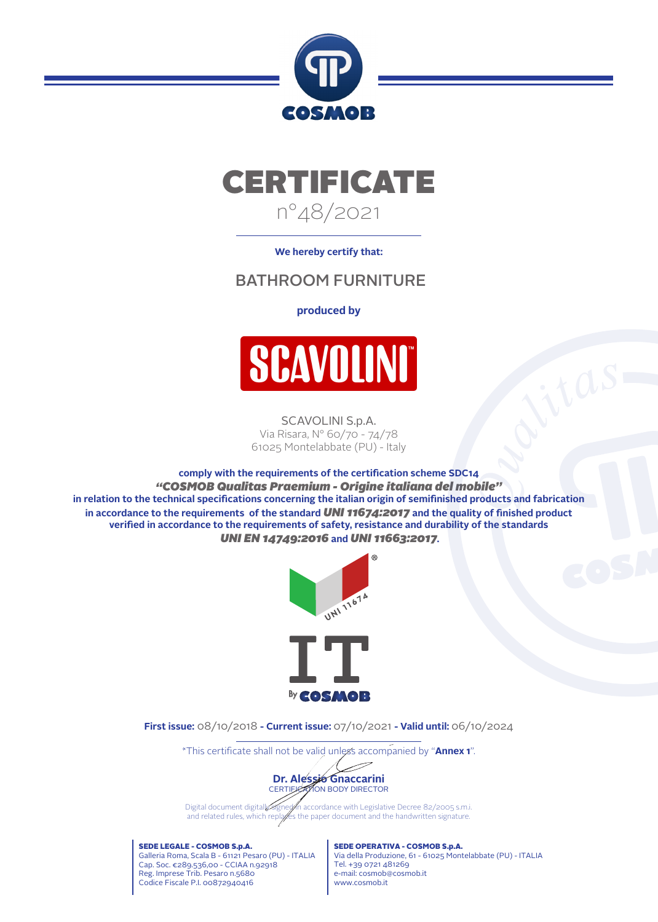



**We hereby certify that:**

## BATHROOM FURNITURE

## **produced by**



SCAVOLINI S.p.A. Via Risara, N° 60/70 - 74/78 61025 Montelabbate (PU) - Italy

**comply with the requirements of the certication scheme SDC14** *"COSMOB Qualitas Praemium - Origine italiana del mobile"* in relation to the technical specifications concerning the italian origin of semifinished products and fabrication in accordance to the requirements of the standard *UNI 11674:2017* and the quality of finished product verified in accordance to the requirements of safety, resistance and durability of the standards *UNI EN 14749:2016* **and** *UNI 11663:2017***.**



**First issue:** 08/10/2018 **- Current issue:** 07/10/2021 **- Valid until:** 06/10/2024

\*This certificate shall not be valid unless accompanied by "Annex 1".



Digital document digitally signet in accordance with Legislative Decree 82/2005 s.m.i. and related rules, which replaces the paper document and the handwritten signature.

SEDE LEGALE - COSMOB S.p.A. Galleria Roma, Scala B - 61121 Pesaro (PU) - ITALIA Cap. Soc. €289.536,00 - CCIAA n.92918 Reg. Imprese Trib. Pesaro n.5680 Codice Fiscale P.I. 00872940416

SEDE OPERATIVA - COSMOB S.p.A. Via della Produzione, 61 - 61025 Montelabbate (PU) - ITALIA Tel. +39 0721 481269 e-mail: cosmob@cosmob.it www.cosmob.it